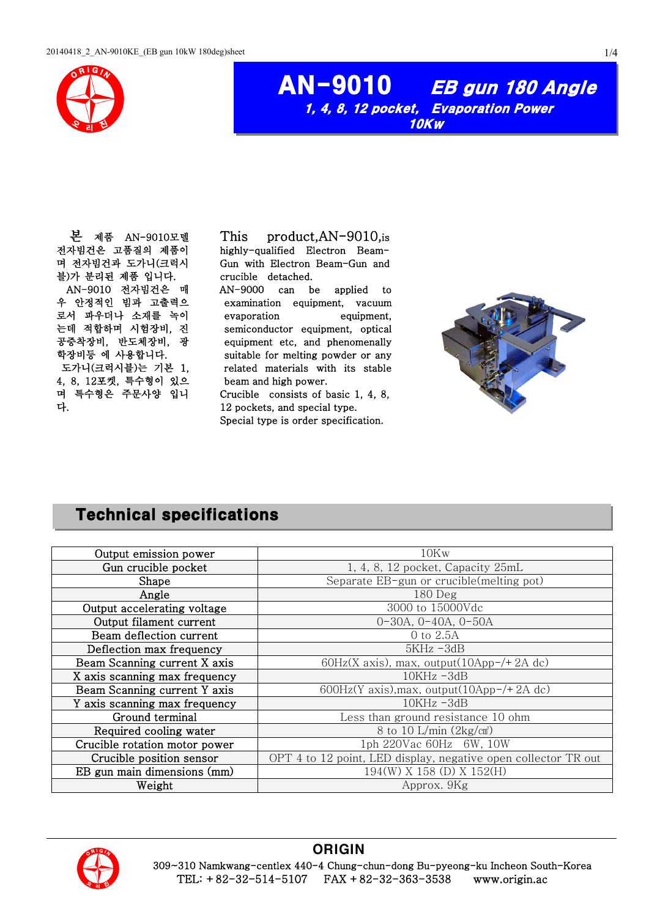

### AN-9010 EB gun 180 Angle 1, 4, 8, 12 pocket, Evaporation Power 10Kw

본 제품 AN-9010모델 전자빔건은 고품질의 제품이 며 전자빔건과 도가니(크럭시 블)가 분리된 제품 입니다. AN-9010 전자빔건은 매 우 안정적인 빔과 고출력으 로서 파우더나 소재를 녹이 는데 적합하며 시험장비, 진 공증착장비, 반도체장비, 광 학장비등 에 사용합니다. 도가니(크럭시블)는 기본 1, 4, 8, 12포켓, 특수형이 있으 며 특수형은 주문사양 입니 다.

This product,AN-9010,is highly-qualified Electron Beam-Gun with Electron Beam-Gun and crucible detached.

AN-9000 can be applied to examination equipment, vacuum evaporation equipment, semiconductor equipment, optical equipment etc, and phenomenally suitable for melting powder or any related materials with its stable beam and high power.

Crucible consists of basic 1, 4, 8, 12 pockets, and special type. Special type is order specification.

# Technical specifications

| Output emission power         | 10Kw                                                           |  |
|-------------------------------|----------------------------------------------------------------|--|
| Gun crucible pocket           | 1, 4, 8, 12 pocket, Capacity 25mL                              |  |
| Shape                         | Separate EB-gun or crucible(melting pot)                       |  |
| Angle                         | $180$ Deg                                                      |  |
| Output accelerating voltage   | 3000 to 15000Vdc                                               |  |
| Output filament current       | $0-30A, 0-40A, 0-50A$                                          |  |
| Beam deflection current       | 0 to 2.5A                                                      |  |
| Deflection max frequency      | $5KHz - 3dB$                                                   |  |
| Beam Scanning current X axis  | $60Hz(X axis)$ , max, output(10App-/+2A dc)                    |  |
| X axis scanning max frequency | $10KHz - 3dB$                                                  |  |
| Beam Scanning current Y axis  | 600Hz(Y axis), max, output( $10$ App-/+2A dc)                  |  |
| Y axis scanning max frequency | $10KHz - 3dB$                                                  |  |
| Ground terminal               | Less than ground resistance 10 ohm                             |  |
| Required cooling water        | 8 to 10 L/min $(2\text{kg/cm}^2)$                              |  |
| Crucible rotation motor power | 1ph 220Vac 60Hz 6W, 10W                                        |  |
| Crucible position sensor      | OPT 4 to 12 point, LED display, negative open collector TR out |  |
| EB gun main dimensions (mm)   | 194(W) X 158 (D) X 152(H)                                      |  |
| Weight                        | Approx. 9Kg                                                    |  |



#### **ORIGIN**

309~310 Namkwang-centlex 440-4 Chung-chun-dong Bu-pyeong-ku Incheon South-Korea TEL: +82-32-514-5107 FAX +82-32-363-3538 www.origin.ac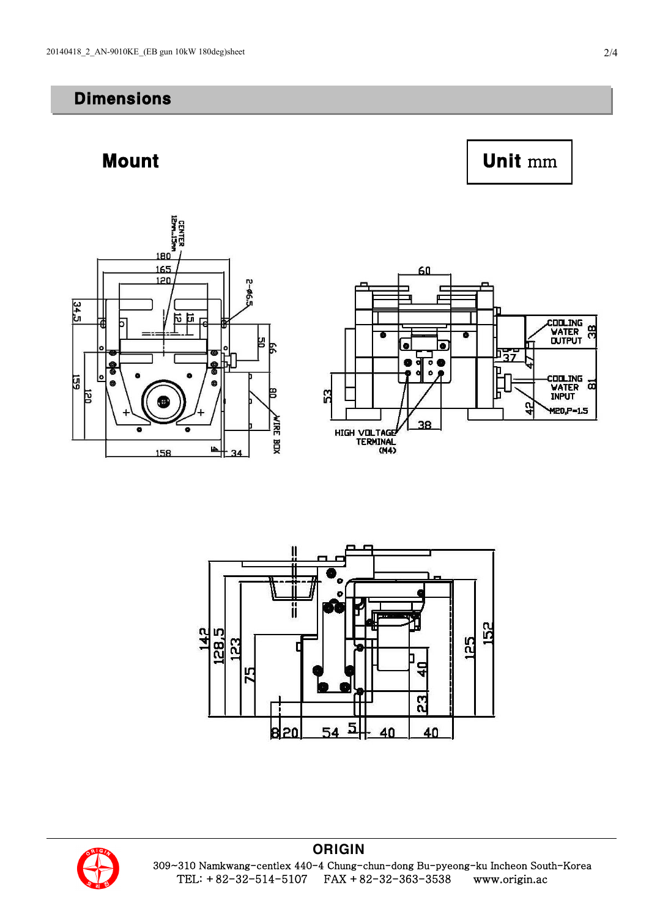#### **Dimensions**











**ORIGIN** 309~310 Namkwang-centlex 440-4 Chung-chun-dong Bu-pyeong-ku Incheon South-Korea TEL: +82-32-514-5107 FAX +82-32-363-3538 www.origin.ac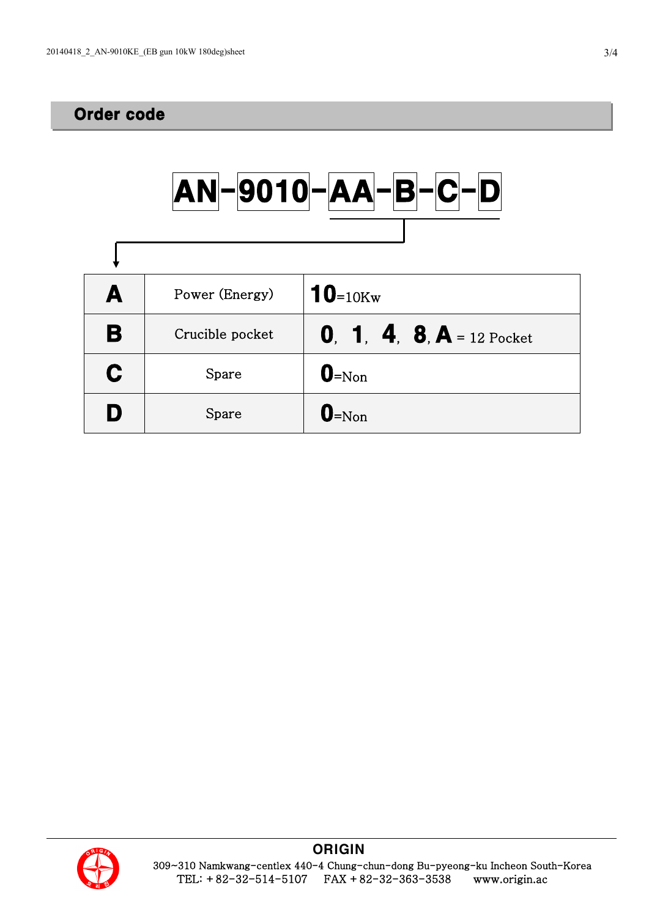## Order code

|   |                 | $ AN - 9010 - AA - B - C - D $   |
|---|-----------------|----------------------------------|
|   |                 |                                  |
| A | Power (Energy)  | <b>10</b> =10 $K_{\rm w}$        |
| B | Crucible pocket | <b>0. 1. 4. 8. A</b> = 12 Pocket |
| C | Spare           | $\mathbf{0}$ =Non                |
| N | Spare           | $\mathbf{0}$ =Non                |